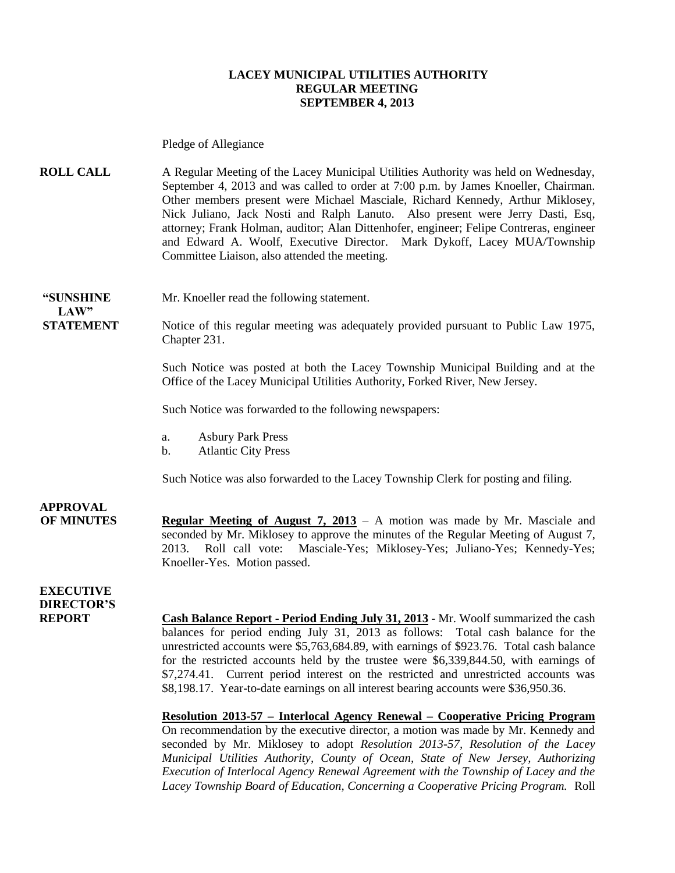#### **LACEY MUNICIPAL UTILITIES AUTHORITY REGULAR MEETING SEPTEMBER 4, 2013**

Pledge of Allegiance

**ROLL CALL** A Regular Meeting of the Lacey Municipal Utilities Authority was held on Wednesday, September 4, 2013 and was called to order at 7:00 p.m. by James Knoeller, Chairman. Other members present were Michael Masciale, Richard Kennedy, Arthur Miklosey, Nick Juliano, Jack Nosti and Ralph Lanuto. Also present were Jerry Dasti, Esq, attorney; Frank Holman, auditor; Alan Dittenhofer, engineer; Felipe Contreras, engineer and Edward A. Woolf, Executive Director. Mark Dykoff, Lacey MUA/Township Committee Liaison, also attended the meeting.

**"SUNSHINE** Mr. Knoeller read the following statement.

**STATEMENT** Notice of this regular meeting was adequately provided pursuant to Public Law 1975, Chapter 231.

> Such Notice was posted at both the Lacey Township Municipal Building and at the Office of the Lacey Municipal Utilities Authority, Forked River, New Jersey.

Such Notice was forwarded to the following newspapers:

- a. Asbury Park Press
- b. Atlantic City Press

Such Notice was also forwarded to the Lacey Township Clerk for posting and filing.

**APPROVAL**

 $LAW"$ 

**OF MINUTES Regular Meeting of August 7, 2013** – A motion was made by Mr. Masciale and seconded by Mr. Miklosey to approve the minutes of the Regular Meeting of August 7, 2013. Roll call vote: Masciale-Yes; Miklosey-Yes; Juliano-Yes; Kennedy-Yes; Knoeller-Yes. Motion passed.

**EXECUTIVE DIRECTOR'S**

**REPORT Cash Balance Report - Period Ending July 31, 2013** - Mr. Woolf summarized the cash balances for period ending July 31, 2013 as follows: Total cash balance for the unrestricted accounts were \$5,763,684.89, with earnings of \$923.76. Total cash balance for the restricted accounts held by the trustee were \$6,339,844.50, with earnings of \$7,274.41. Current period interest on the restricted and unrestricted accounts was \$8,198.17. Year-to-date earnings on all interest bearing accounts were \$36,950.36.

**Resolution 2013-57 – Interlocal Agency Renewal – Cooperative Pricing Program**

On recommendation by the executive director, a motion was made by Mr. Kennedy and seconded by Mr. Miklosey to adopt *Resolution 2013-57, Resolution of the Lacey Municipal Utilities Authority, County of Ocean, State of New Jersey, Authorizing Execution of Interlocal Agency Renewal Agreement with the Township of Lacey and the Lacey Township Board of Education, Concerning a Cooperative Pricing Program.* Roll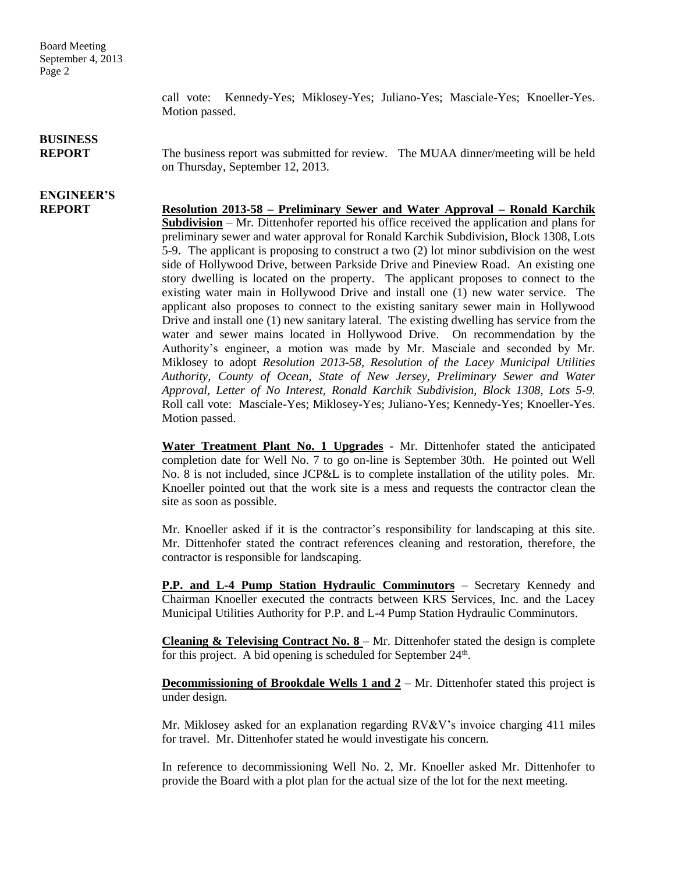Board Meeting September 4, 2013 Page 2

> call vote: Kennedy-Yes; Miklosey-Yes; Juliano-Yes; Masciale-Yes; Knoeller-Yes. Motion passed.

## **BUSINESS**

**ENGINEER'S**

**REPORT** The business report was submitted for review. The MUAA dinner/meeting will be held on Thursday, September 12, 2013.

#### **REPORT Resolution 2013-58 – Preliminary Sewer and Water Approval – Ronald Karchik Subdivision** – Mr. Dittenhofer reported his office received the application and plans for preliminary sewer and water approval for Ronald Karchik Subdivision, Block 1308, Lots 5-9. The applicant is proposing to construct a two (2) lot minor subdivision on the west side of Hollywood Drive, between Parkside Drive and Pineview Road. An existing one story dwelling is located on the property. The applicant proposes to connect to the existing water main in Hollywood Drive and install one (1) new water service. The applicant also proposes to connect to the existing sanitary sewer main in Hollywood Drive and install one (1) new sanitary lateral. The existing dwelling has service from the water and sewer mains located in Hollywood Drive. On recommendation by the Authority's engineer, a motion was made by Mr. Masciale and seconded by Mr. Miklosey to adopt *Resolution 2013-58, Resolution of the Lacey Municipal Utilities Authority, County of Ocean, State of New Jersey, Preliminary Sewer and Water Approval, Letter of No Interest, Ronald Karchik Subdivision, Block 1308, Lots 5-9.*  Roll call vote: Masciale-Yes; Miklosey-Yes; Juliano-Yes; Kennedy-Yes; Knoeller-Yes. Motion passed.

**Water Treatment Plant No. 1 Upgrades** - Mr. Dittenhofer stated the anticipated completion date for Well No. 7 to go on-line is September 30th. He pointed out Well No. 8 is not included, since JCP&L is to complete installation of the utility poles. Mr. Knoeller pointed out that the work site is a mess and requests the contractor clean the site as soon as possible.

Mr. Knoeller asked if it is the contractor's responsibility for landscaping at this site. Mr. Dittenhofer stated the contract references cleaning and restoration, therefore, the contractor is responsible for landscaping.

**P.P. and L-4 Pump Station Hydraulic Comminutors** – Secretary Kennedy and Chairman Knoeller executed the contracts between KRS Services, Inc. and the Lacey Municipal Utilities Authority for P.P. and L-4 Pump Station Hydraulic Comminutors.

**Cleaning & Televising Contract No. 8** – Mr. Dittenhofer stated the design is complete for this project. A bid opening is scheduled for September 24<sup>th</sup>.

**Decommissioning of Brookdale Wells 1 and 2** – Mr. Dittenhofer stated this project is under design.

Mr. Miklosey asked for an explanation regarding RV&V's invoice charging 411 miles for travel. Mr. Dittenhofer stated he would investigate his concern.

In reference to decommissioning Well No. 2, Mr. Knoeller asked Mr. Dittenhofer to provide the Board with a plot plan for the actual size of the lot for the next meeting.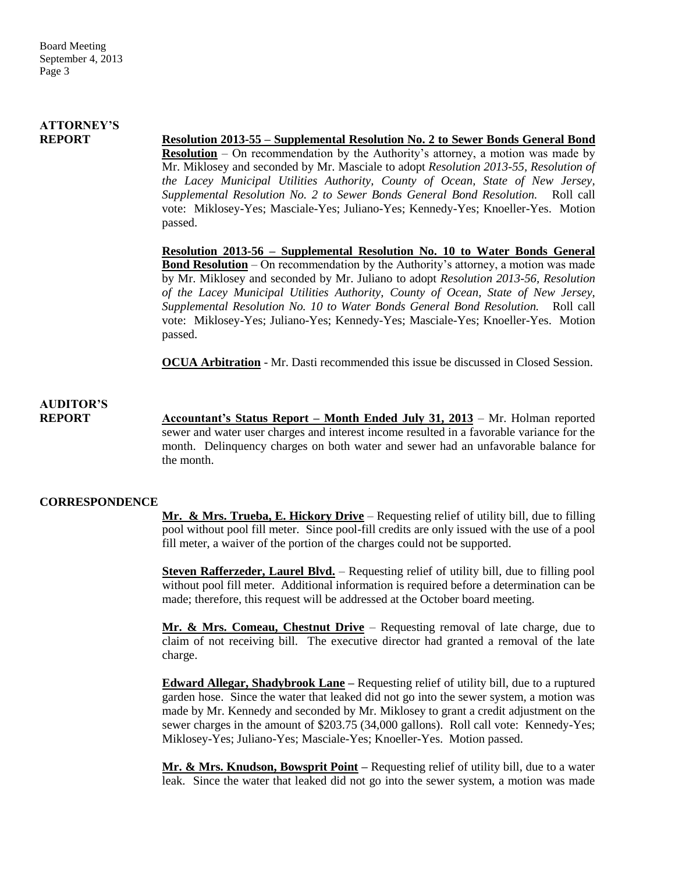## **ATTORNEY'S**

### **REPORT Resolution 2013-55 – Supplemental Resolution No. 2 to Sewer Bonds General Bond**

**Resolution** – On recommendation by the Authority's attorney, a motion was made by Mr. Miklosey and seconded by Mr. Masciale to adopt *Resolution 2013-55, Resolution of the Lacey Municipal Utilities Authority, County of Ocean, State of New Jersey, Supplemental Resolution No. 2 to Sewer Bonds General Bond Resolution.* Roll call vote: Miklosey-Yes; Masciale-Yes; Juliano-Yes; Kennedy-Yes; Knoeller-Yes. Motion passed.

**Resolution 2013-56 – Supplemental Resolution No. 10 to Water Bonds General Bond Resolution** – On recommendation by the Authority's attorney, a motion was made by Mr. Miklosey and seconded by Mr. Juliano to adopt *Resolution 2013-56, Resolution of the Lacey Municipal Utilities Authority, County of Ocean, State of New Jersey, Supplemental Resolution No. 10 to Water Bonds General Bond Resolution.* Roll call vote: Miklosey-Yes; Juliano-Yes; Kennedy-Yes; Masciale-Yes; Knoeller-Yes. Motion passed.

**OCUA Arbitration** - Mr. Dasti recommended this issue be discussed in Closed Session.

# **AUDITOR'S**

**REPORT Accountant's Status Report – Month Ended July 31, 2013** – Mr. Holman reported sewer and water user charges and interest income resulted in a favorable variance for the month. Delinquency charges on both water and sewer had an unfavorable balance for the month.

#### **CORRESPONDENCE**

**Mr. & Mrs. Trueba, E. Hickory Drive** – Requesting relief of utility bill, due to filling pool without pool fill meter. Since pool-fill credits are only issued with the use of a pool fill meter, a waiver of the portion of the charges could not be supported.

**Steven Rafferzeder, Laurel Blvd.** – Requesting relief of utility bill, due to filling pool without pool fill meter. Additional information is required before a determination can be made; therefore, this request will be addressed at the October board meeting.

**Mr. & Mrs. Comeau, Chestnut Drive** – Requesting removal of late charge, due to claim of not receiving bill. The executive director had granted a removal of the late charge.

**Edward Allegar, Shadybrook Lane –** Requesting relief of utility bill, due to a ruptured garden hose. Since the water that leaked did not go into the sewer system, a motion was made by Mr. Kennedy and seconded by Mr. Miklosey to grant a credit adjustment on the sewer charges in the amount of \$203.75 (34,000 gallons). Roll call vote: Kennedy-Yes; Miklosey-Yes; Juliano-Yes; Masciale-Yes; Knoeller-Yes. Motion passed.

**Mr. & Mrs. Knudson, Bowsprit Point –** Requesting relief of utility bill, due to a water leak. Since the water that leaked did not go into the sewer system, a motion was made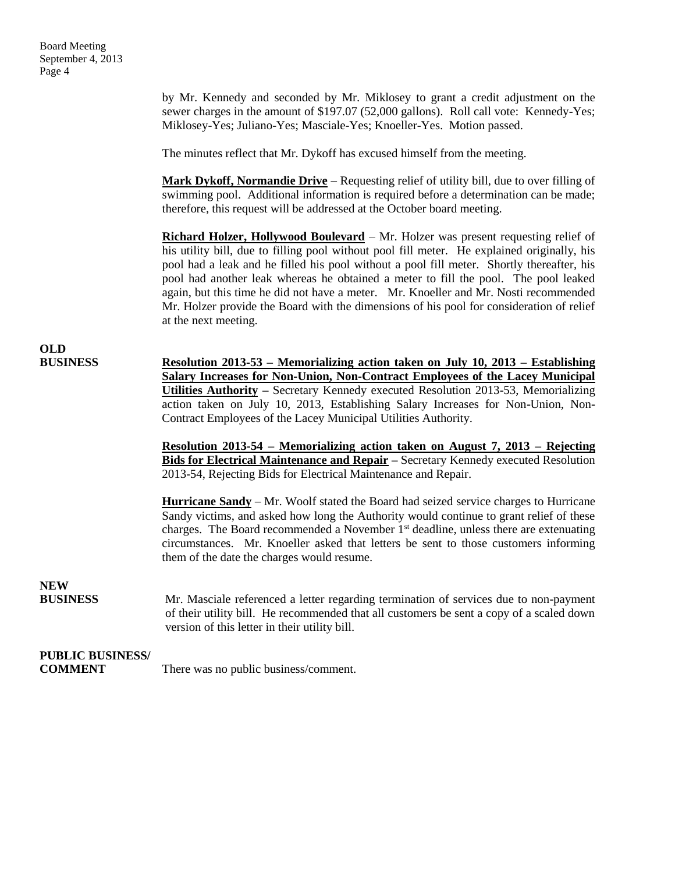by Mr. Kennedy and seconded by Mr. Miklosey to grant a credit adjustment on the sewer charges in the amount of \$197.07 (52,000 gallons). Roll call vote: Kennedy-Yes; Miklosey-Yes; Juliano-Yes; Masciale-Yes; Knoeller-Yes. Motion passed.

The minutes reflect that Mr. Dykoff has excused himself from the meeting.

**Mark Dykoff, Normandie Drive –** Requesting relief of utility bill, due to over filling of swimming pool. Additional information is required before a determination can be made; therefore, this request will be addressed at the October board meeting.

**Richard Holzer, Hollywood Boulevard** – Mr. Holzer was present requesting relief of his utility bill, due to filling pool without pool fill meter. He explained originally, his pool had a leak and he filled his pool without a pool fill meter. Shortly thereafter, his pool had another leak whereas he obtained a meter to fill the pool. The pool leaked again, but this time he did not have a meter. Mr. Knoeller and Mr. Nosti recommended Mr. Holzer provide the Board with the dimensions of his pool for consideration of relief at the next meeting.

**OLD**

**BUSINESS Resolution 2013-53 – Memorializing action taken on July 10, 2013 – Establishing Salary Increases for Non-Union, Non-Contract Employees of the Lacey Municipal Utilities Authority –** Secretary Kennedy executed Resolution 2013-53, Memorializing action taken on July 10, 2013, Establishing Salary Increases for Non-Union, Non-Contract Employees of the Lacey Municipal Utilities Authority.

> **Resolution 2013-54 – Memorializing action taken on August 7, 2013 – Rejecting Bids for Electrical Maintenance and Repair –** Secretary Kennedy executed Resolution 2013-54, Rejecting Bids for Electrical Maintenance and Repair.

> **Hurricane Sandy** – Mr. Woolf stated the Board had seized service charges to Hurricane Sandy victims, and asked how long the Authority would continue to grant relief of these charges. The Board recommended a November 1st deadline, unless there are extenuating circumstances. Mr. Knoeller asked that letters be sent to those customers informing them of the date the charges would resume.

## **NEW**

**BUSINESS** Mr. Masciale referenced a letter regarding termination of services due to non-payment of their utility bill. He recommended that all customers be sent a copy of a scaled down version of this letter in their utility bill.

### **PUBLIC BUSINESS/**

**COMMENT** There was no public business/comment.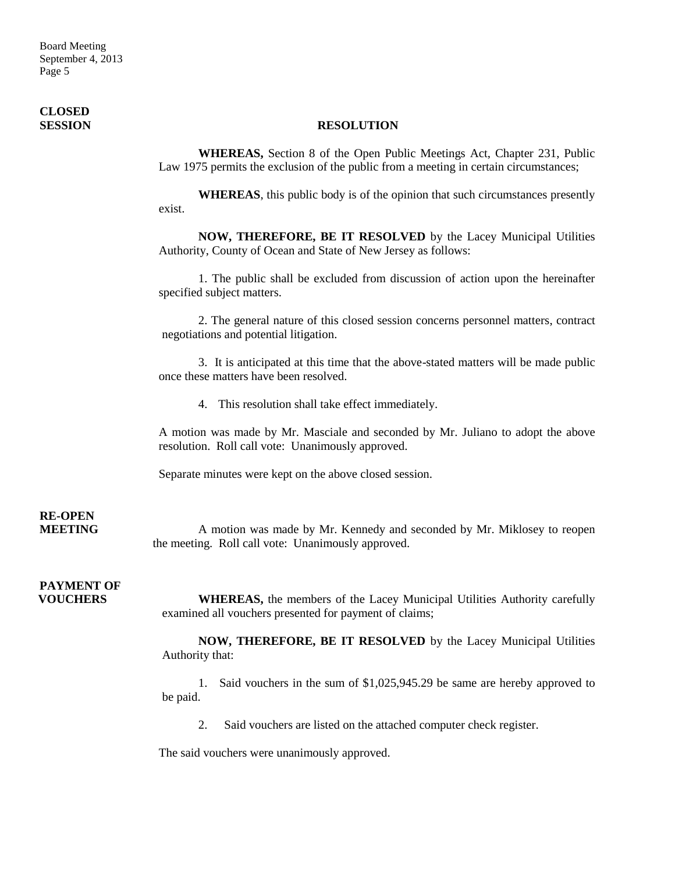Board Meeting September 4, 2013 Page 5

# **CLOSED**

#### **SESSION RESOLUTION**

**WHEREAS,** Section 8 of the Open Public Meetings Act, Chapter 231, Public Law 1975 permits the exclusion of the public from a meeting in certain circumstances;

**WHEREAS**, this public body is of the opinion that such circumstances presently exist.

**NOW, THEREFORE, BE IT RESOLVED** by the Lacey Municipal Utilities Authority, County of Ocean and State of New Jersey as follows:

1. The public shall be excluded from discussion of action upon the hereinafter specified subject matters.

2. The general nature of this closed session concerns personnel matters, contract negotiations and potential litigation.

3. It is anticipated at this time that the above-stated matters will be made public once these matters have been resolved.

4. This resolution shall take effect immediately.

A motion was made by Mr. Masciale and seconded by Mr. Juliano to adopt the above resolution. Roll call vote: Unanimously approved.

Separate minutes were kept on the above closed session.

# **RE-OPEN**

**MEETING** A motion was made by Mr. Kennedy and seconded by Mr. Miklosey to reopen the meeting. Roll call vote: Unanimously approved.

**PAYMENT OF**

**VOUCHERS** WHEREAS, the members of the Lacey Municipal Utilities Authority carefully examined all vouchers presented for payment of claims;

> **NOW, THEREFORE, BE IT RESOLVED** by the Lacey Municipal Utilities Authority that:

> 1. Said vouchers in the sum of \$1,025,945.29 be same are hereby approved to be paid.

2. Said vouchers are listed on the attached computer check register.

The said vouchers were unanimously approved.